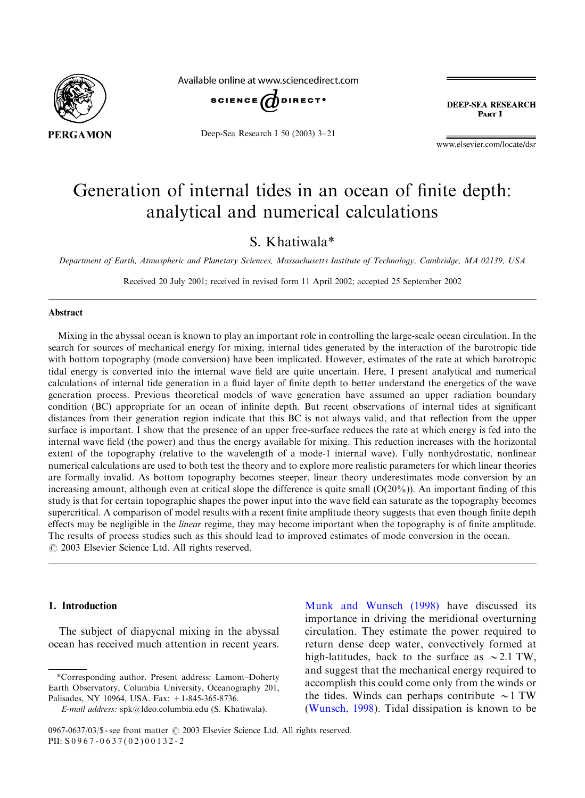

Available online at www.sciencedirect.com



Deep-Sea Research I 50 (2003) 3–21

**DEEP-SEA RESEARCH** PAPT I

www.elsevier.com/locate/dsr

# Generation of internal tides in an ocean of finite depth: analytical and numerical calculations

S. Khatiwala\*

Department of Earth, Atmospheric and Planetary Sciences, Massachusetts Institute of Technology, Cambridge, MA 02139, USA

Received 20 July 2001; received in revised form 11 April 2002; accepted 25 September 2002

# Abstract

Mixing in the abyssal ocean is known to play an important role in controlling the large-scale ocean circulation. In the search for sources of mechanical energy for mixing, internal tides generated by the interaction of the barotropic tide with bottom topography (mode conversion) have been implicated. However, estimates of the rate at which barotropic tidal energy is converted into the internal wave field are quite uncertain. Here, I present analytical and numerical calculations of internal tide generation in a fluid layer of finite depth to better understand the energetics of the wave generation process. Previous theoretical models of wave generation have assumed an upper radiation boundary condition (BC) appropriate for an ocean of infinite depth. But recent observations of internal tides at significant distances from their generation region indicate that this BC is not always valid, and that reflection from the upper surface is important. I show that the presence of an upper free-surface reduces the rate at which energy is fed into the internal wave field (the power) and thus the energy available for mixing. This reduction increases with the horizontal extent of the topography (relative to the wavelength of a mode-1 internal wave). Fully nonhydrostatic, nonlinear numerical calculations are used to both test the theory and to explore more realistic parameters for which linear theories are formally invalid. As bottom topography becomes steeper, linear theory underestimates mode conversion by an increasing amount, although even at critical slope the difference is quite small  $(O(20\%))$ . An important finding of this study is that for certain topographic shapes the power input into the wave field can saturate as the topography becomes supercritical. A comparison of model results with a recent finite amplitude theory suggests that even though finite depth effects may be negligible in the *linear* regime, they may become important when the topography is of finite amplitude. The results of process studies such as this should lead to improved estimates of mode conversion in the ocean.  $\odot$  2003 Elsevier Science Ltd. All rights reserved.

#### 1. Introduction

The subject of diapycnal mixing in the abyssal ocean has received much attention in recent years.

[Munk and Wunsch \(1998\)](#page-18-0) have discussed its importance in driving the meridional overturning circulation. They estimate the power required to return dense deep water, convectively formed at high-latitudes, back to the surface as  $\sim$  2.1 TW, and suggest that the mechanical energy required to accomplish this could come only from the winds or the tides. Winds can perhaps contribute  $\sim$  1 TW [\(Wunsch, 1998](#page-18-0)). Tidal dissipation is known to be

<sup>\*</sup>Corresponding author. Present address: Lamont–Doherty Earth Observatory, Columbia University, Oceanography 201, Palisades, NY 10964, USA. Fax: +1-845-365-8736.

E-mail address: spk@ldeo.columbia.edu (S. Khatiwala).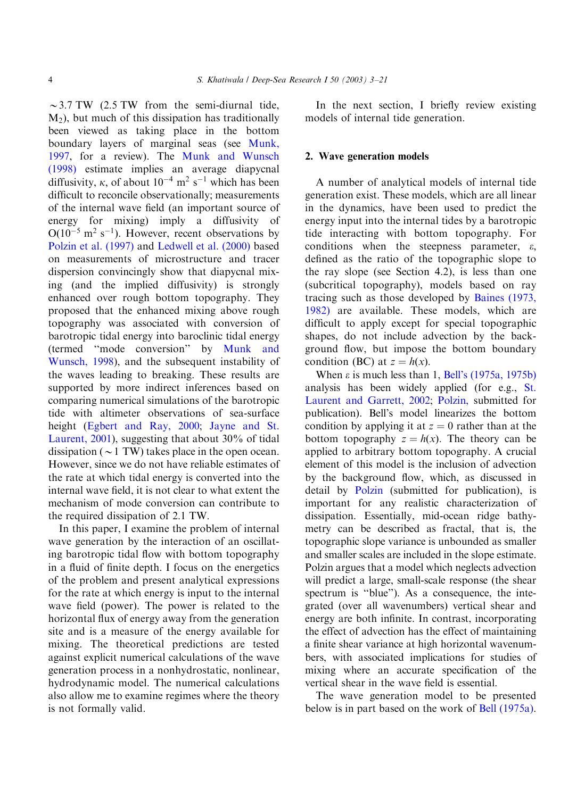$\sim$  3.7 TW (2.5 TW from the semi-diurnal tide,  $M<sub>2</sub>$ ), but much of this dissipation has traditionally been viewed as taking place in the bottom boundary layers of marginal seas (see [Munk,](#page-18-0) [1997,](#page-18-0) for a review). The [Munk and Wunsch](#page-18-0) [\(1998\)](#page-18-0) estimate implies an average diapycnal diffusivity,  $\kappa$ , of about  $10^{-4}$  m<sup>2</sup> s<sup>-1</sup> which has been difficult to reconcile observationally; measurements of the internal wave field (an important source of energy for mixing) imply a diffusivity of  $O(10^{-5} \text{ m}^2 \text{ s}^{-1})$ . However, recent observations by [Polzin et al. \(1997\)](#page-18-0) and [Ledwell et al. \(2000\)](#page-18-0) based on measurements of microstructure and tracer dispersion convincingly show that diapycnal mixing (and the implied diffusivity) is strongly enhanced over rough bottom topography. They proposed that the enhanced mixing above rough topography was associated with conversion of barotropic tidal energy into baroclinic tidal energy (termed ''mode conversion'' by [Munk and](#page-18-0) [Wunsch, 1998\)](#page-18-0), and the subsequent instability of the waves leading to breaking. These results are supported by more indirect inferences based on comparing numerical simulations of the barotropic tide with altimeter observations of sea-surface height [\(Egbert and Ray, 2000;](#page-18-0) [Jayne and St.](#page-18-0) [Laurent, 2001\)](#page-18-0), suggesting that about 30% of tidal dissipation ( $\sim$  1 TW) takes place in the open ocean. However, since we do not have reliable estimates of the rate at which tidal energy is converted into the internal wave field, it is not clear to what extent the mechanism of mode conversion can contribute to the required dissipation of 2.1 TW.

In this paper, I examine the problem of internal wave generation by the interaction of an oscillating barotropic tidal flow with bottom topography in a fluid of finite depth. I focus on the energetics of the problem and present analytical expressions for the rate at which energy is input to the internal wave field (power). The power is related to the horizontal flux of energy away from the generation site and is a measure of the energy available for mixing. The theoretical predictions are tested against explicit numerical calculations of the wave generation process in a nonhydrostatic, nonlinear, hydrodynamic model. The numerical calculations also allow me to examine regimes where the theory is not formally valid.

In the next section, I briefly review existing models of internal tide generation.

# 2. Wave generation models

A number of analytical models of internal tide generation exist. These models, which are all linear in the dynamics, have been used to predict the energy input into the internal tides by a barotropic tide interacting with bottom topography. For conditions when the steepness parameter,  $\varepsilon$ , defined as the ratio of the topographic slope to the ray slope (see Section 4.2), is less than one (subcritical topography), models based on ray tracing such as those developed by [Baines \(1973,](#page-18-0) [1982\)](#page-18-0) are available. These models, which are difficult to apply except for special topographic shapes, do not include advection by the background flow, but impose the bottom boundary condition (BC) at  $z = h(x)$ .

When  $\varepsilon$  is much less than 1, [Bell's \(1975a, 1975b\)](#page-18-0) analysis has been widely applied (for e.g., [St.](#page-18-0) [Laurent and Garrett, 2002](#page-18-0); [Polzin,](#page-18-0) submitted for publication). Bell's model linearizes the bottom condition by applying it at  $z = 0$  rather than at the bottom topography  $z = h(x)$ . The theory can be applied to arbitrary bottom topography. A crucial element of this model is the inclusion of advection by the background flow, which, as discussed in detail by [Polzin](#page-18-0) (submitted for publication), is important for any realistic characterization of dissipation. Essentially, mid-ocean ridge bathymetry can be described as fractal, that is, the topographic slope variance is unbounded as smaller and smaller scales are included in the slope estimate. Polzin argues that a model which neglects advection will predict a large, small-scale response (the shear spectrum is "blue"). As a consequence, the integrated (over all wavenumbers) vertical shear and energy are both infinite. In contrast, incorporating the effect of advection has the effect of maintaining a finite shear variance at high horizontal wavenumbers, with associated implications for studies of mixing where an accurate specification of the vertical shear in the wave field is essential.

The wave generation model to be presented below is in part based on the work of [Bell \(1975a\)](#page-18-0).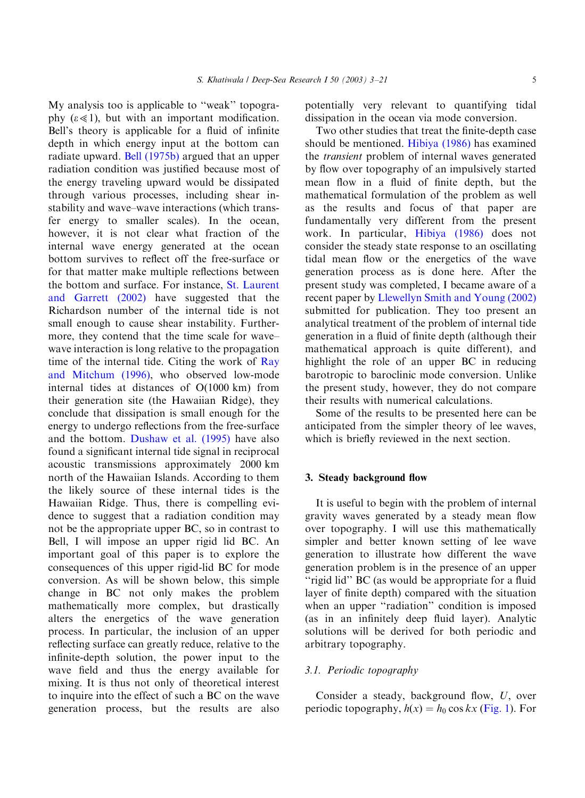S. Khatiwala / Deep-Sea Research I 50 (2003) 3–21 5

My analysis too is applicable to ''weak'' topography  $(\varepsilon \ll 1)$ , but with an important modification. Bell's theory is applicable for a fluid of infinite depth in which energy input at the bottom can radiate upward. [Bell \(1975b\)](#page-18-0) argued that an upper radiation condition was justified because most of the energy traveling upward would be dissipated through various processes, including shear instability and wave–wave interactions (which transfer energy to smaller scales). In the ocean, however, it is not clear what fraction of the internal wave energy generated at the ocean bottom survives to reflect off the free-surface or for that matter make multiple reflections between the bottom and surface. For instance, [St. Laurent](#page-18-0) [and Garrett \(2002\)](#page-18-0) have suggested that the Richardson number of the internal tide is not small enough to cause shear instability. Furthermore, they contend that the time scale for wave– wave interaction is long relative to the propagation time of the internal tide. Citing the work of [Ray](#page-18-0) [and Mitchum \(1996\),](#page-18-0) who observed low-mode internal tides at distances of  $O(1000 \text{ km})$  from their generation site (the Hawaiian Ridge), they conclude that dissipation is small enough for the energy to undergo reflections from the free-surface and the bottom. [Dushaw et al. \(1995\)](#page-18-0) have also found a significant internal tide signal in reciprocal acoustic transmissions approximately 2000 km north of the Hawaiian Islands. According to them the likely source of these internal tides is the Hawaiian Ridge. Thus, there is compelling evidence to suggest that a radiation condition may not be the appropriate upper BC, so in contrast to Bell, I will impose an upper rigid lid BC. An important goal of this paper is to explore the consequences of this upper rigid-lid BC for mode conversion. As will be shown below, this simple change in BC not only makes the problem mathematically more complex, but drastically alters the energetics of the wave generation process. In particular, the inclusion of an upper reflecting surface can greatly reduce, relative to the infinite-depth solution, the power input to the wave field and thus the energy available for mixing. It is thus not only of theoretical interest to inquire into the effect of such a BC on the wave generation process, but the results are also potentially very relevant to quantifying tidal dissipation in the ocean via mode conversion.

Two other studies that treat the finite-depth case should be mentioned. [Hibiya \(1986\)](#page-18-0) has examined the transient problem of internal waves generated by flow over topography of an impulsively started mean flow in a fluid of finite depth, but the mathematical formulation of the problem as well as the results and focus of that paper are fundamentally very different from the present work. In particular, [Hibiya \(1986\)](#page-18-0) does not consider the steady state response to an oscillating tidal mean flow or the energetics of the wave generation process as is done here. After the present study was completed, I became aware of a recent paper by [Llewellyn Smith and Young \(2002\)](#page-18-0) submitted for publication. They too present an analytical treatment of the problem of internal tide generation in a fluid of finite depth (although their mathematical approach is quite different), and highlight the role of an upper BC in reducing barotropic to baroclinic mode conversion. Unlike the present study, however, they do not compare their results with numerical calculations.

Some of the results to be presented here can be anticipated from the simpler theory of lee waves, which is briefly reviewed in the next section.

# 3. Steady background flow

It is useful to begin with the problem of internal gravity waves generated by a steady mean flow over topography. I will use this mathematically simpler and better known setting of lee wave generation to illustrate how different the wave generation problem is in the presence of an upper "rigid lid" BC (as would be appropriate for a fluid layer of finite depth) compared with the situation when an upper "radiation" condition is imposed (as in an infinitely deep fluid layer). Analytic solutions will be derived for both periodic and arbitrary topography.

# 3.1. Periodic topography

Consider a steady, background flow, U, over periodic topography,  $h(x) = h_0 \cos kx$  ([Fig. 1\)](#page-3-0). For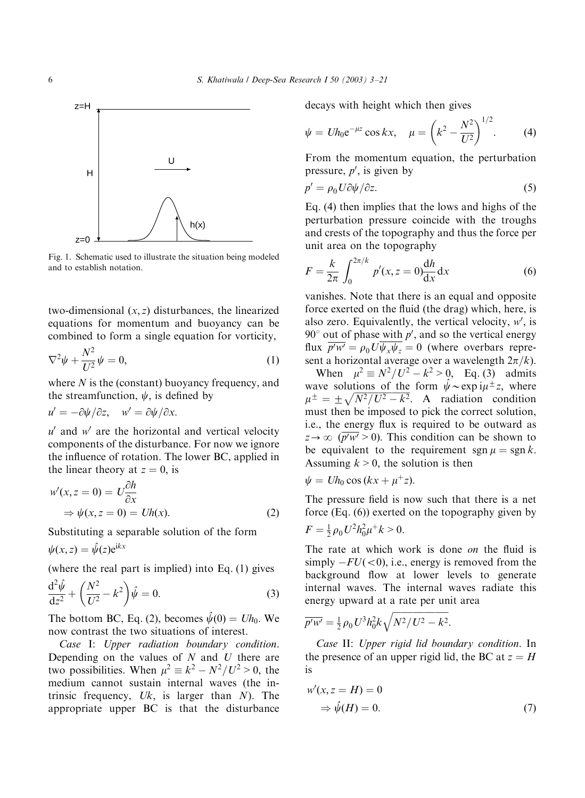<span id="page-3-0"></span>

Fig. 1. Schematic used to illustrate the situation being modeled and to establish notation.

two-dimensional  $(x, z)$  disturbances, the linearized equations for momentum and buoyancy can be combined to form a single equation for vorticity,

$$
\nabla^2 \psi + \frac{N^2}{U^2} \psi = 0, \tag{1}
$$

where  $N$  is the (constant) buoyancy frequency, and the streamfunction,  $\psi$ , is defined by

$$
u' = -\partial \psi / \partial z, \quad w' = \partial \psi / \partial x.
$$

 $u'$  and  $w'$  are the horizontal and vertical velocity components of the disturbance. For now we ignore the influence of rotation. The lower BC, applied in the linear theory at  $z = 0$ , is

$$
w'(x, z = 0) = U \frac{\partial h}{\partial x}
$$
  
\n
$$
\Rightarrow \psi(x, z = 0) = Uh(x).
$$
 (2)

Substituting a separable solution of the form

 $\psi(x, z) = \hat{\psi}(z) e^{ikx}$ 

(where the real part is implied) into Eq. (1) gives

$$
\frac{\mathrm{d}^2\hat{\psi}}{\mathrm{d}z^2} + \left(\frac{N^2}{U^2} - k^2\right)\hat{\psi} = 0.
$$
\n(3)

The bottom BC, Eq. (2), becomes  $\hat{\psi}(0) = Uh_0$ . We now contrast the two situations of interest.

Case I: Upper radiation boundary condition. Depending on the values of  $N$  and  $U$  there are two possibilities. When  $\mu^2 \equiv k^2 - N^2/U^2 > 0$ , the medium cannot sustain internal waves (the intrinsic frequency,  $Uk$ , is larger than  $N$ ). The appropriate upper BC is that the disturbance

decays with height which then gives

$$
\psi = Uh_0 e^{-\mu z} \cos kx, \quad \mu = \left(k^2 - \frac{N^2}{U^2}\right)^{1/2}.
$$
 (4)

From the momentum equation, the perturbation pressure,  $p'$ , is given by

$$
p' = \rho_0 U \partial \psi / \partial z. \tag{5}
$$

Eq. (4) then implies that the lows and highs of the perturbation pressure coincide with the troughs and crests of the topography and thus the force per unit area on the topography

$$
F = \frac{k}{2\pi} \int_0^{2\pi/k} p'(x, z = 0) \frac{dh}{dx} dx
$$
 (6)

vanishes. Note that there is an equal and opposite force exerted on the fluid (the drag) which, here, is also zero. Equivalently, the vertical velocity,  $w'$ , is 90 $^{\circ}$  out of phase with p', and so the vertical energy flux  $\overline{p'w'} = \rho_0 U \overline{\psi_x \psi_z} = 0$  (where overbars represent a horizontal average over a wavelength  $2\pi/k$ .

When  $\mu^2 \equiv N^2/U^2 - k^2 > 0$ , Eq. (3) admits wave solutions of the form  $\hat{\psi} \sim \exp i \mu^{\pm} z$ , where wave solutions of the form  $\psi$  explite 2, where must then be imposed to pick the correct solution, i.e., the energy flux is required to be outward as  $z \to \infty$  ( $\overline{p'w'} > 0$ ). This condition can be shown to be equivalent to the requirement sgn  $\mu = \text{sgn } k$ . Assuming  $k > 0$ , the solution is then

$$
\psi = Uh_0 \cos(kx + \mu^+ z).
$$

The pressure field is now such that there is a net force (Eq. (6)) exerted on the topography given by  $F = \frac{1}{2} \rho_0 U^2 h_0^2 \mu^+ k > 0.$ 

The rate at which work is done on the fluid is simply  $-FU(\leq 0)$ , i.e., energy is removed from the background flow at lower levels to generate internal waves. The internal waves radiate this energy upward at a rate per unit area

$$
\overline{p'w'} = \frac{1}{2} \rho_0 U^3 h_0^2 k \sqrt{N^2 / U^2 - k^2}.
$$

Case II: Upper rigid lid boundary condition. In the presence of an upper rigid lid, the BC at  $z = H$ is

$$
w'(x, z = H) = 0
$$
  
\n
$$
\Rightarrow \hat{\psi}(H) = 0.
$$
 (7)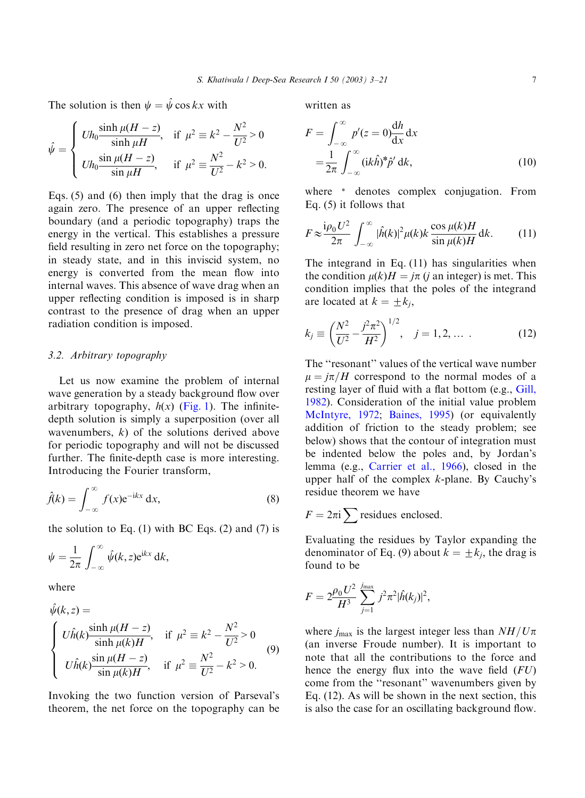The solution is then  $\psi = \hat{\psi} \cos kx$  with

$$
\hat{\psi} = \begin{cases} Uh_0 \frac{\sinh \mu (H - z)}{\sinh \mu H}, & \text{if } \mu^2 \equiv k^2 - \frac{N^2}{U^2} > 0 \\ Uh_0 \frac{\sin \mu (H - z)}{\sin \mu H}, & \text{if } \mu^2 \equiv \frac{N^2}{U^2} - k^2 > 0. \end{cases}
$$

Eqs. (5) and (6) then imply that the drag is once again zero. The presence of an upper reflecting boundary (and a periodic topography) traps the energy in the vertical. This establishes a pressure field resulting in zero net force on the topography; in steady state, and in this inviscid system, no energy is converted from the mean flow into internal waves. This absence of wave drag when an upper reflecting condition is imposed is in sharp contrast to the presence of drag when an upper radiation condition is imposed.

# 3.2. Arbitrary topography

Let us now examine the problem of internal wave generation by a steady background flow over arbitrary topography,  $h(x)$  [\(Fig. 1\)](#page-3-0). The infinitedepth solution is simply a superposition (over all wavenumbers,  $k$ ) of the solutions derived above for periodic topography and will not be discussed further. The finite-depth case is more interesting. Introducing the Fourier transform,

$$
\hat{f}(k) = \int_{-\infty}^{\infty} f(x) e^{-ikx} dx,
$$
\n(8)

the solution to Eq.  $(1)$  with BC Eqs.  $(2)$  and  $(7)$  is

$$
\psi = \frac{1}{2\pi} \int_{-\infty}^{\infty} \hat{\psi}(k, z) e^{ikx} dk,
$$

where

$$
\hat{\psi}(k, z) =
$$
\n
$$
\begin{cases}\nU\hat{h}(k) \frac{\sinh \mu(H - z)}{\sinh \mu(k)H}, & \text{if } \mu^2 \equiv k^2 - \frac{N^2}{U^2} > 0 \\
U\hat{h}(k) \frac{\sin \mu(H - z)}{\sin \mu(k)H}, & \text{if } \mu^2 \equiv \frac{N^2}{U^2} - k^2 > 0.\n\end{cases}
$$
\n(9)

Invoking the two function version of Parseval's theorem, the net force on the topography can be written as

$$
F = \int_{-\infty}^{\infty} p'(z=0) \frac{dh}{dx} dx
$$
  
= 
$$
\frac{1}{2\pi} \int_{-\infty}^{\infty} (ik\hat{h})^* \hat{p}' dk,
$$
 (10)

where \* denotes complex conjugation. From Eq. (5) it follows that

$$
F \approx \frac{\mathrm{i}\rho_0 U^2}{2\pi} \int_{-\infty}^{\infty} |\hat{h}(k)|^2 \mu(k) k \frac{\cos \mu(k) H}{\sin \mu(k) H} \,\mathrm{d}k. \tag{11}
$$

The integrand in Eq. (11) has singularities when the condition  $\mu(k)H = j\pi$  (j an integer) is met. This condition implies that the poles of the integrand are located at  $k = \pm k_i$ ,

$$
k_j \equiv \left(\frac{N^2}{U^2} - \frac{j^2 \pi^2}{H^2}\right)^{1/2}, \quad j = 1, 2, \dots \tag{12}
$$

The ''resonant'' values of the vertical wave number  $\mu = i\pi/H$  correspond to the normal modes of a resting layer of fluid with a flat bottom (e.g., [Gill,](#page-18-0) [1982\)](#page-18-0). Consideration of the initial value problem [McIntyre, 1972;](#page-18-0) [Baines, 1995\)](#page-18-0) (or equivalently addition of friction to the steady problem; see below) shows that the contour of integration must be indented below the poles and, by Jordan's lemma (e.g., [Carrier et al., 1966](#page-18-0)), closed in the upper half of the complex  $k$ -plane. By Cauchy's residue theorem we have

$$
F = 2\pi \mathrm{i} \sum \text{residues enclosed.}
$$

Evaluating the residues by Taylor expanding the denominator of Eq. (9) about  $k = \pm k_i$ , the drag is found to be

$$
F = 2 \frac{\rho_0 U^2}{H^3} \sum_{j=1}^{j_{\text{max}}} j^2 \pi^2 |\hat{h}(k_j)|^2,
$$

where  $j_{\rm max}$  is the largest integer less than  $NH/U\pi$ (an inverse Froude number). It is important to note that all the contributions to the force and hence the energy flux into the wave field  $(FU)$ come from the ''resonant'' wavenumbers given by Eq. (12). As will be shown in the next section, this is also the case for an oscillating background flow.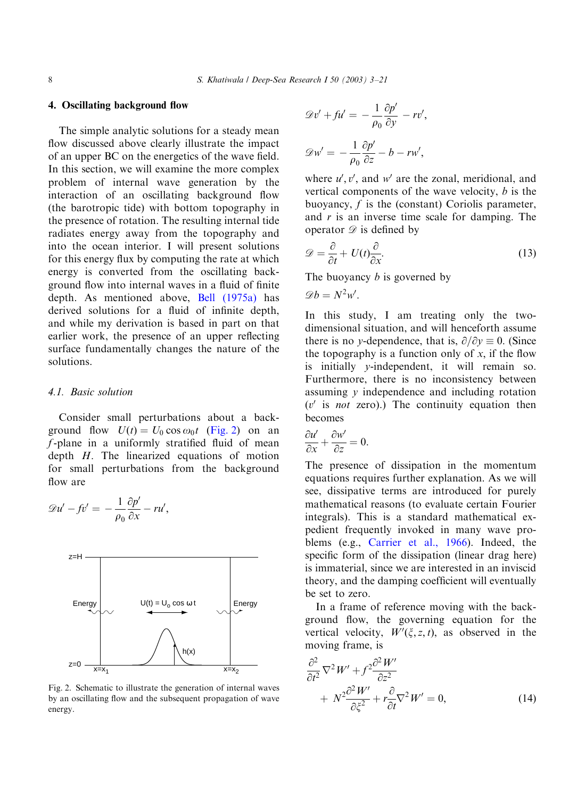# <span id="page-5-0"></span>4. Oscillating background flow

The simple analytic solutions for a steady mean flow discussed above clearly illustrate the impact of an upper BC on the energetics of the wave field. In this section, we will examine the more complex problem of internal wave generation by the interaction of an oscillating background flow (the barotropic tide) with bottom topography in the presence of rotation. The resulting internal tide radiates energy away from the topography and into the ocean interior. I will present solutions for this energy flux by computing the rate at which energy is converted from the oscillating background flow into internal waves in a fluid of finite depth. As mentioned above, [Bell \(1975a\)](#page-18-0) has derived solutions for a fluid of infinite depth, and while my derivation is based in part on that earlier work, the presence of an upper reflecting surface fundamentally changes the nature of the solutions.

## 4.1. Basic solution

Consider small perturbations about a background flow  $U(t) = U_0 \cos \omega_0 t$  (Fig. 2) on an  $f$ -plane in a uniformly stratified fluid of mean depth  $H$ . The linearized equations of motion for small perturbations from the background flow are

$$
\mathscr{D}u'-fv'=-\frac{1}{\rho_0}\frac{\partial p'}{\partial x}-ru',
$$



Fig. 2. Schematic to illustrate the generation of internal waves by an oscillating flow and the subsequent propagation of wave energy.

$$
\mathcal{D}v' + fu' = -\frac{1}{\rho_0} \frac{\partial p'}{\partial y} - rv',
$$

$$
\mathcal{D}w' = -\frac{1}{\rho_0} \frac{\partial p'}{\partial z} - b - rw',
$$

where  $u', v'$ , and w' are the zonal, meridional, and vertical components of the wave velocity,  $b$  is the buoyancy, f is the (constant) Coriolis parameter, and  $r$  is an inverse time scale for damping. The operator  $\mathscr{D}$  is defined by

$$
\mathcal{D} = \frac{\partial}{\partial t} + U(t) \frac{\partial}{\partial x}.
$$
\n(13)

The buoyancy *b* is governed by

$$
\mathscr{D}b=N^2w'.
$$

In this study, I am treating only the twodimensional situation, and will henceforth assume there is no y-dependence, that is,  $\partial/\partial y \equiv 0$ . (Since the topography is a function only of  $x$ , if the flow is initially y-independent, it will remain so. Furthermore, there is no inconsistency between assuming y independence and including rotation  $(v'$  is *not* zero).) The continuity equation then becomes

$$
\frac{\partial u'}{\partial x} + \frac{\partial w'}{\partial z} = 0.
$$

The presence of dissipation in the momentum equations requires further explanation. As we will see, dissipative terms are introduced for purely mathematical reasons (to evaluate certain Fourier integrals). This is a standard mathematical expedient frequently invoked in many wave problems (e.g., [Carrier et al., 1966\)](#page-18-0). Indeed, the specific form of the dissipation (linear drag here) is immaterial, since we are interested in an inviscid theory, and the damping coefficient will eventually be set to zero.

In a frame of reference moving with the background flow, the governing equation for the vertical velocity,  $W'(\xi, z, t)$ , as observed in the moving frame, is

$$
\frac{\partial^2}{\partial t^2} \nabla^2 W' + f^2 \frac{\partial^2 W'}{\partial z^2} \n+ N^2 \frac{\partial^2 W'}{\partial \xi^2} + r \frac{\partial}{\partial t} \nabla^2 W' = 0,
$$
\n(14)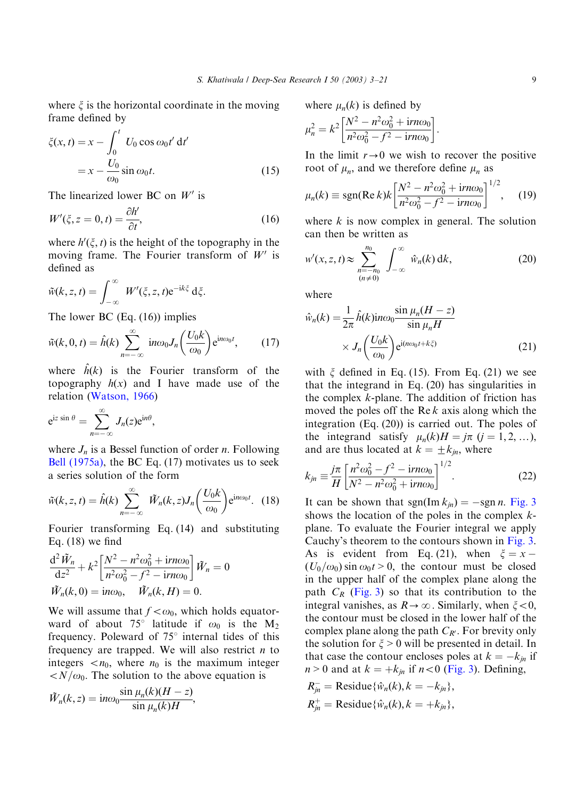where  $\xi$  is the horizontal coordinate in the moving frame defined by

$$
\zeta(x,t) = x - \int_0^t U_0 \cos \omega_0 t' dt'
$$
  
=  $x - \frac{U_0}{\omega_0} \sin \omega_0 t.$  (15)

The linearized lower BC on  $W'$  is

$$
W'(\xi, z = 0, t) = \frac{\partial h'}{\partial t},\tag{16}
$$

where  $h'(\xi, t)$  is the height of the topography in the moving frame. The Fourier transform of  $W'$  is defined as

$$
\tilde{w}(k, z, t) = \int_{-\infty}^{\infty} W'(\xi, z, t) e^{-ik\xi} d\xi.
$$

The lower BC (Eq. (16)) implies

$$
\tilde{w}(k,0,t) = \hat{h}(k) \sum_{n=-\infty}^{\infty} in\omega_0 J_n\left(\frac{U_0 k}{\omega_0}\right) e^{in\omega_0 t}, \qquad (17)
$$

where  $\hat{h}(k)$  is the Fourier transform of the topography  $h(x)$  and I have made use of the relation [\(Watson, 1966](#page-18-0))

$$
e^{iz \sin \theta} = \sum_{n=-\infty}^{\infty} J_n(z) e^{in\theta},
$$

where  $J_n$  is a Bessel function of order *n*. Following [Bell \(1975a\)](#page-18-0), the BC Eq. (17) motivates us to seek a series solution of the form

$$
\tilde{w}(k, z, t) = \hat{h}(k) \sum_{n=-\infty}^{\infty} \tilde{W}_n(k, z) J_n\left(\frac{U_0 k}{\omega_0}\right) e^{in\omega_0 t}.
$$
 (18)

Fourier transforming Eq. (14) and substituting Eq.  $(18)$  we find

$$
\frac{\mathrm{d}^2 \tilde{W}_n}{\mathrm{d}z^2} + k^2 \left[ \frac{N^2 - n^2 \omega_0^2 + \mathrm{i}rn\omega_0}{n^2 \omega_0^2 - f^2 - \mathrm{i}rn\omega_0} \right] \tilde{W}_n = 0
$$
  

$$
\tilde{W}_n(k, 0) = \mathrm{i}n\omega_0, \quad \tilde{W}_n(k, H) = 0.
$$

We will assume that  $f < \omega_0$ , which holds equatorward of about 75° latitude if  $\omega_0$  is the M<sub>2</sub> frequency. Poleward of  $75^\circ$  internal tides of this frequency are trapped. We will also restrict  $n$  to integers  $\langle n_0, \text{ where } n_0 \text{ is the maximum integer} \rangle$  $\langle N/\omega_0$ . The solution to the above equation is

$$
\tilde{W}_n(k, z) = \text{i} n \omega_0 \frac{\sin \mu_n(k)(H - z)}{\sin \mu_n(k)H},
$$

where 
$$
\mu_n(k)
$$
 is defined by  
\n
$$
\mu_n^2 = k^2 \left[ \frac{N^2 - n^2 \omega_0^2 + i r n \omega_0}{n^2 \omega_0^2 - f^2 - i r n \omega_0} \right].
$$

In the limit  $r \rightarrow 0$  we wish to recover the positive root of  $\mu_n$ , and we therefore define  $\mu_n$  as

$$
\mu_n(k) \equiv \text{sgn}(\text{Re } k) k \left[ \frac{N^2 - n^2 \omega_0^2 + \text{i} r n \omega_0}{n^2 \omega_0^2 - f^2 - \text{i} r n \omega_0} \right]^{1/2}, \quad (19)
$$

where  $k$  is now complex in general. The solution can then be written as

$$
w'(x, z, t) \approx \sum_{\substack{n=-n_0\\(n \neq 0)}}^{n_0} \int_{-\infty}^{\infty} \hat{w}_n(k) \, \mathrm{d}k,\tag{20}
$$

where

$$
\hat{w}_n(k) = \frac{1}{2\pi} \hat{h}(k) \text{in} \omega_0 \frac{\sin \mu_n (H - z)}{\sin \mu_n H} \times J_n \left( \frac{U_0 k}{\omega_0} \right) e^{\text{i}(n\omega_0 t + k\xi)} \tag{21}
$$

with  $\xi$  defined in Eq. (15). From Eq. (21) we see that the integrand in Eq. (20) has singularities in the complex  $k$ -plane. The addition of friction has moved the poles off the Re  $k$  axis along which the integration (Eq. (20)) is carried out. The poles of the integrand satisfy  $\mu_n(k)H = j\pi$   $(j = 1, 2, ...)$ , and are thus located at  $k = \pm k_{in}$ , where

$$
k_{jn} \equiv \frac{j\pi}{H} \left[ \frac{n^2 \omega_0^2 - f^2 - irn\omega_0}{N^2 - n^2 \omega_0^2 + irn\omega_0} \right]^{1/2}.
$$
 (22)

It can be shown that sgn(Im  $k_{in}$ ) = -sgn n. [Fig. 3](#page-7-0) shows the location of the poles in the complex  $k$ plane. To evaluate the Fourier integral we apply Cauchy's theorem to the contours shown in [Fig. 3](#page-7-0). As is evident from Eq. (21), when  $\xi = x (U_0/\omega_0)$  sin  $\omega_0t > 0$ , the contour must be closed in the upper half of the complex plane along the path  $C_R$  [\(Fig. 3\)](#page-7-0) so that its contribution to the integral vanishes, as  $R \rightarrow \infty$ . Similarly, when  $\xi < 0$ , the contour must be closed in the lower half of the complex plane along the path  $C_{R'}$ . For brevity only the solution for  $\xi > 0$  will be presented in detail. In that case the contour encloses poles at  $k = -k_{in}$  if  $n > 0$  and at  $k = +k_{jn}$  if  $n < 0$  [\(Fig. 3\)](#page-7-0). Defining,

$$
R_{jn}^{-} = \text{Residue}\{\hat{w}_n(k), k = -k_{jn}\},
$$
  

$$
R_{jn}^{+} = \text{Residue}\{\hat{w}_n(k), k = +k_{jn}\},
$$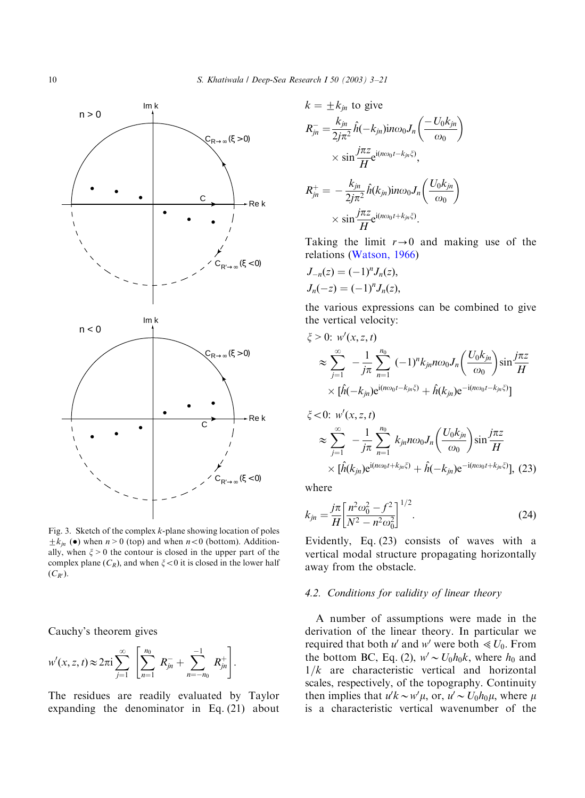<span id="page-7-0"></span>

Fig. 3. Sketch of the complex  $k$ -plane showing location of poles  $\pm k_{jn}$  ( $\bullet$ ) when  $n > 0$  (top) and when  $n < 0$  (bottom). Additionally, when  $\xi > 0$  the contour is closed in the upper part of the complex plane  $(C_R)$ , and when  $\xi < 0$  it is closed in the lower half  $(C_{R^{\prime}}).$ 

Cauchy's theorem gives

$$
w'(x, z, t) \approx 2\pi i \sum_{j=1}^{\infty} \left[ \sum_{n=1}^{n_0} R_{jn}^- + \sum_{n=-n_0}^{-1} R_{jn}^+ \right].
$$

The residues are readily evaluated by Taylor expanding the denominator in Eq. (21) about

$$
k = \pm k_{jn} \text{ to give}
$$
  
\n
$$
R_{jn}^- = \frac{k_{jn}}{2j\pi^2} \hat{h}(-k_{jn}) \text{in} \omega_0 J_n \left( \frac{-U_0 k_{jn}}{\omega_0} \right)
$$
  
\n
$$
\times \sin \frac{j\pi z}{H} e^{i(n\omega_0 t - k_{jn}\zeta)},
$$
  
\n
$$
R_{jn}^+ = -\frac{k_{jn}}{2j\pi^2} \hat{h}(k_{jn}) \text{in} \omega_0 J_n \left( \frac{U_0 k_{jn}}{\omega_0} \right)
$$
  
\n
$$
\times \sin \frac{j\pi z}{H} e^{i(n\omega_0 t + k_{jn}\zeta)}.
$$

Taking the limit  $r \rightarrow 0$  and making use of the relations [\(Watson, 1966](#page-18-0))

$$
J_{-n}(z) = (-1)^n J_n(z),
$$
  
\n
$$
J_n(-z) = (-1)^n J_n(z),
$$

the various expressions can be combined to give the vertical velocity:

$$
\xi > 0: w'(x, z, t)
$$
  
\n
$$
\approx \sum_{j=1}^{\infty} -\frac{1}{j\pi} \sum_{n=1}^{n_0} (-1)^n k_{jn} n\omega_0 J_n \left( \frac{U_0 k_{jn}}{\omega_0} \right) \sin \frac{j\pi z}{H}
$$
  
\n
$$
\times [\hat{h}(-k_{jn}) e^{i(n\omega_0 t - k_{jn}\xi)} + \hat{h}(k_{jn}) e^{-i(n\omega_0 t - k_{jn}\xi)}]
$$

$$
\xi < 0: \ w'(x, z, t) \\
\approx \sum_{j=1}^{\infty} -\frac{1}{j\pi} \sum_{n=1}^{n_0} k_{jn} n\omega_0 J_n \left( \frac{U_0 k_{jn}}{\omega_0} \right) \sin \frac{j\pi z}{H} \\
\times [\hat{h}(k_{jn}) e^{i(n\omega_0 t + k_{jn}\xi)} + \hat{h}(-k_{jn}) e^{-i(n\omega_0 t + k_{jn}\xi)}], \tag{23}
$$

where

$$
k_{jn} = \frac{j\pi}{H} \left[ \frac{n^2 \omega_0^2 - f^2}{N^2 - n^2 \omega_0^2} \right]^{1/2}.
$$
 (24)

Evidently, Eq. (23) consists of waves with a vertical modal structure propagating horizontally away from the obstacle.

#### 4.2. Conditions for validity of linear theory

A number of assumptions were made in the derivation of the linear theory. In particular we required that both u' and w' were both  $\ll U_0$ . From the bottom BC, Eq. (2),  $w' \sim U_0 h_0 k$ , where  $h_0$  and  $1/k$  are characteristic vertical and horizontal scales, respectively, of the topography. Continuity then implies that  $u'k \sim w'\mu$ , or,  $u' \sim U_0h_0\mu$ , where  $\mu$ is a characteristic vertical wavenumber of the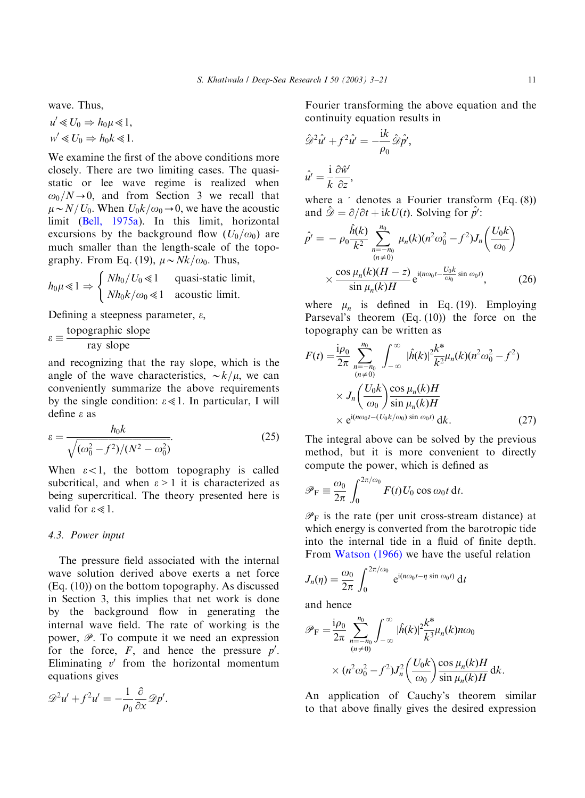wave. Thus,

$$
u' \ll U_0 \Rightarrow h_0 \mu \ll 1,
$$
  

$$
w' \ll U_0 \Rightarrow h_0 k \ll 1.
$$

We examine the first of the above conditions more closely. There are two limiting cases. The quasistatic or lee wave regime is realized when  $\omega_0/N \rightarrow 0$ , and from Section 3 we recall that  $\mu \sim N/U_0$ . When  $U_0k/\omega_0 \rightarrow 0$ , we have the acoustic limit [\(Bell, 1975a\)](#page-18-0). In this limit, horizontal excursions by the background flow  $(U_0/\omega_0)$  are much smaller than the length-scale of the topography. From Eq. (19),  $\mu \sim Nk/\omega_0$ . Thus,

$$
h_0\mu \ll 1 \Rightarrow \begin{cases} Nh_0/U_0 \ll 1 & \text{quasi-static limit,} \\ Nh_0k/\omega_0 \ll 1 & \text{acoustic limit.} \end{cases}
$$

Defining a steepness parameter,  $\varepsilon$ ,

$$
\varepsilon \equiv \frac{\text{topographic slope}}{\text{ray slope}}
$$

and recognizing that the ray slope, which is the angle of the wave characteristics,  $\sim k/\mu$ , we can conveniently summarize the above requirements by the single condition:  $\varepsilon \ll 1$ . In particular, I will define e as

$$
\varepsilon = \frac{h_0 k}{\sqrt{(\omega_0^2 - f^2)/(N^2 - \omega_0^2)}}.\tag{25}
$$

When  $\epsilon$ <1, the bottom topography is called subcritical, and when  $\varepsilon > 1$  it is characterized as being supercritical. The theory presented here is valid for  $\epsilon \ll 1$ .

#### 4.3. Power input

The pressure field associated with the internal wave solution derived above exerts a net force (Eq. (10)) on the bottom topography. As discussed in Section 3, this implies that net work is done by the background flow in generating the internal wave field. The rate of working is the power,  $\mathscr{P}$ . To compute it we need an expression for the force,  $F$ , and hence the pressure  $p'$ . Eliminating  $v'$  from the horizontal momentum equations gives

$$
\mathscr{D}^2 u' + f^2 u' = -\frac{1}{\rho_0} \frac{\partial}{\partial x} \mathscr{D} p'.
$$

Fourier transforming the above equation and the continuity equation results in

$$
\hat{\mathcal{D}}^2 \hat{u}' + f^2 \hat{u}' = -\frac{\mathrm{i} k}{\rho_0} \hat{\mathcal{D}} \hat{p}',
$$

$$
\hat{u}' = \frac{\mathrm{i}}{k} \frac{\partial \hat{v}'}{\partial z},
$$

where  $a \hat{\ }$  denotes a Fourier transform (Eq. (8)) and  $\hat{\mathscr{D}} = \partial/\partial t + ikU(t)$ . Solving for  $\hat{p'}$ :

$$
\hat{p'} = -\rho_0 \frac{\hat{h}(k)}{k^2} \sum_{\substack{n = -n_0 \\ (n \neq 0)}}^{n_0} \mu_n(k) (n^2 \omega_0^2 - f^2) J_n \left( \frac{U_0 k}{\omega_0} \right)
$$

$$
\times \frac{\cos \mu_n(k) (H - z)}{\sin \mu_n(k) H} e^{i(n\omega_0 t - \frac{U_0 k}{\omega_0} \sin \omega_0 t)}, \tag{26}
$$

where  $\mu_n$  is defined in Eq. (19). Employing Parseval's theorem (Eq. (10)) the force on the topography can be written as

$$
F(t) = \frac{i\rho_0}{2\pi} \sum_{\substack{n=-n_0 \\ (n \neq 0)}}^{n_0} \int_{-\infty}^{\infty} |\hat{h}(k)|^2 \frac{k^*}{k^2} \mu_n(k) (n^2 \omega_0^2 - f^2)
$$
  
 
$$
\times J_n \left( \frac{U_0 k}{\omega_0} \right) \frac{\cos \mu_n(k) H}{\sin \mu_n(k) H}
$$
  
 
$$
\times e^{i(n\omega_0 t - (U_0 k/\omega_0) \sin \omega_0 t)} dk.
$$
 (27)

The integral above can be solved by the previous method, but it is more convenient to directly compute the power, which is defined as

$$
\mathscr{P}_{\mathrm{F}} \equiv \frac{\omega_0}{2\pi} \int_0^{2\pi/\omega_0} F(t) U_0 \cos \omega_0 t \, \mathrm{d}t.
$$

 $\mathscr{P}_F$  is the rate (per unit cross-stream distance) at which energy is converted from the barotropic tide into the internal tide in a fluid of finite depth. From [Watson \(1966\)](#page-18-0) we have the useful relation

$$
J_n(\eta) = \frac{\omega_0}{2\pi} \int_0^{2\pi/\omega_0} e^{i(n\omega_0 t - \eta \sin \omega_0 t)} dt
$$

and hence

$$
\mathscr{P}_{\mathrm{F}} = \frac{i\rho_0}{2\pi} \sum_{\substack{n=-n_0 \\ (n \neq 0)}}^{\infty} \int_{-\infty}^{\infty} |\hat{h}(k)|^2 \frac{k^*}{k^3} \mu_n(k) n\omega_0
$$

$$
\times (n^2 \omega_0^2 - f^2) J_n^2 \left( \frac{U_0 k}{\omega_0} \right) \frac{\cos \mu_n(k) H}{\sin \mu_n(k) H} \mathrm{d}k.
$$

An application of Cauchy's theorem similar to that above finally gives the desired expression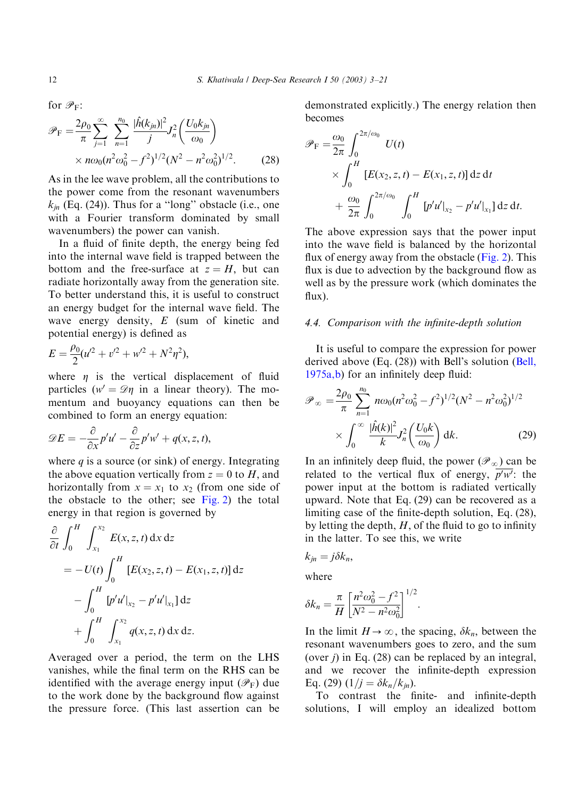for  $\mathscr{P}_F$ :

$$
\mathcal{P}_{\rm F} = \frac{2\rho_0}{\pi} \sum_{j=1}^{\infty} \sum_{n=1}^{n_0} \frac{|\hat{h}(k_{jn})|^2}{j} J_n^2 \left(\frac{U_0 k_{jn}}{\omega_0}\right) \times n\omega_0 (n^2 \omega_0^2 - f^2)^{1/2} (N^2 - n^2 \omega_0^2)^{1/2}.
$$
 (28)

As in the lee wave problem, all the contributions to the power come from the resonant wavenumbers  $k_m$  (Eq. (24)). Thus for a "long" obstacle (i.e., one with a Fourier transform dominated by small wavenumbers) the power can vanish.

In a fluid of finite depth, the energy being fed into the internal wave field is trapped between the bottom and the free-surface at  $z = H$ , but can radiate horizontally away from the generation site. To better understand this, it is useful to construct an energy budget for the internal wave field. The wave energy density,  $E$  (sum of kinetic and potential energy) is defined as

$$
E = \frac{\rho_0}{2}(u^2 + v^2 + w^2 + N^2\eta^2),
$$

where  $\eta$  is the vertical displacement of fluid particles ( $w' = \mathcal{D}\eta$  in a linear theory). The momentum and buoyancy equations can then be combined to form an energy equation:

$$
\mathscr{D}E=-\frac{\partial}{\partial x}p'u'-\frac{\partial}{\partial z}p'w'+q(x,z,t),
$$

where  $q$  is a source (or sink) of energy. Integrating the above equation vertically from  $z = 0$  to H, and horizontally from  $x = x_1$  to  $x_2$  (from one side of the obstacle to the other; see  $Fig. 2$ ) the total energy in that region is governed by

$$
\frac{\partial}{\partial t} \int_0^H \int_{x_1}^{x_2} E(x, z, t) dx dz
$$
  
=  $- U(t) \int_0^H [E(x_2, z, t) - E(x_1, z, t)] dz$   
 $- \int_0^H [p'u']_{x_2} - p'u']_{x_1} dz$   
 $+ \int_0^H \int_{x_1}^{x_2} q(x, z, t) dx dz.$ 

Averaged over a period, the term on the LHS vanishes, while the final term on the RHS can be identified with the average energy input  $(\mathscr{P}_F)$  due to the work done by the background flow against the pressure force. (This last assertion can be

demonstrated explicitly.) The energy relation then becomes

$$
\mathscr{P}_{F} = \frac{\omega_{0}}{2\pi} \int_{0}^{2\pi/\omega_{0}} U(t)
$$
  
 
$$
\times \int_{0}^{H} [E(x_{2}, z, t) - E(x_{1}, z, t)] dz dt
$$
  
 
$$
+ \frac{\omega_{0}}{2\pi} \int_{0}^{2\pi/\omega_{0}} \int_{0}^{H} [p'u']_{x_{2}} - p'u']_{x_{1}} dz dt.
$$

The above expression says that the power input into the wave field is balanced by the horizontal flux of energy away from the obstacle [\(Fig. 2](#page-5-0)). This flux is due to advection by the background flow as well as by the pressure work (which dominates the flux).

## 4.4. Comparison with the infinite-depth solution

It is useful to compare the expression for power derived above (Eq. (28)) with Bell's solution ([Bell,](#page-18-0) [1975a,b](#page-18-0)) for an infinitely deep fluid:

$$
\mathcal{P}_{\infty} = \frac{2\rho_0}{\pi} \sum_{n=1}^{n_0} n\omega_0 (n^2 \omega_0^2 - f^2)^{1/2} (N^2 - n^2 \omega_0^2)^{1/2}
$$

$$
\times \int_0^{\infty} \frac{|\hat{h}(k)|^2}{k} J_n^2 \left(\frac{U_0 k}{\omega_0}\right) dk. \tag{29}
$$

In an infinitely deep fluid, the power  $(\mathscr{P}_\infty)$  can be related to the vertical flux of energy,  $\overline{p'w'}$ : the power input at the bottom is radiated vertically upward. Note that Eq. (29) can be recovered as a limiting case of the finite-depth solution, Eq. (28), by letting the depth,  $H$ , of the fluid to go to infinity in the latter. To see this, we write

$$
k_{jn}=j\delta k_n,
$$

where

$$
\delta k_n = \frac{\pi}{H} \left[ \frac{n^2 \omega_0^2 - f^2}{N^2 - n^2 \omega_0^2} \right]^{1/2}
$$

In the limit  $H\to\infty$ , the spacing,  $\delta k_n$ , between the resonant wavenumbers goes to zero, and the sum (over  $j$ ) in Eq. (28) can be replaced by an integral, and we recover the infinite-depth expression Eq. (29)  $(1/j = \delta k_n/k_m)$ .

:

To contrast the finite- and infinite-depth solutions, I will employ an idealized bottom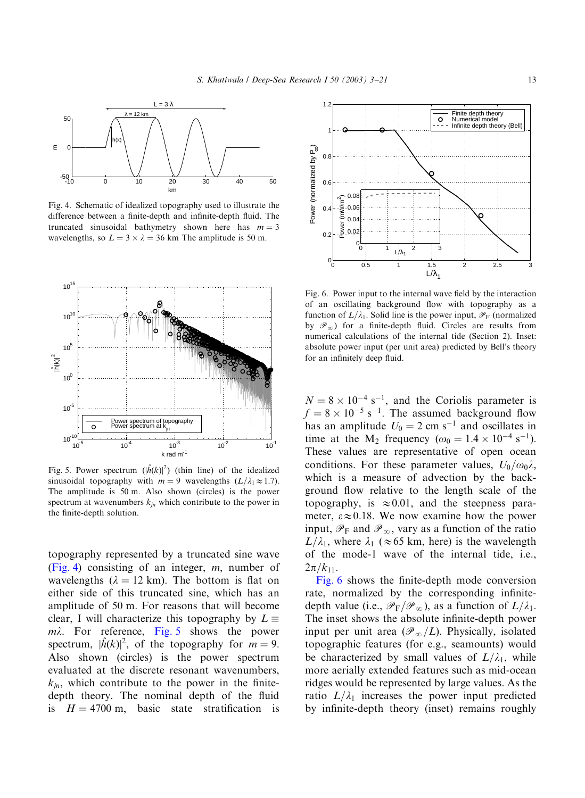<span id="page-10-0"></span>

Fig. 4. Schematic of idealized topography used to illustrate the difference between a finite-depth and infinite-depth fluid. The truncated sinusoidal bathymetry shown here has  $m = 3$ wavelengths, so  $L = 3 \times \lambda = 36$  km The amplitude is 50 m.



Fig. 5. Power spectrum  $(|\hat{h}(k)|^2)$  (thin line) of the idealized sinusoidal topography with  $m = 9$  wavelengths  $(L/\lambda_1 \approx 1.7)$ . The amplitude is 50 m: Also shown (circles) is the power spectrum at wavenumbers  $k_{in}$  which contribute to the power in the finite-depth solution.

topography represented by a truncated sine wave (Fig. 4) consisting of an integer,  $m$ , number of wavelengths ( $\lambda = 12$  km). The bottom is flat on either side of this truncated sine, which has an amplitude of 50 m: For reasons that will become clear, I will characterize this topography by  $L \equiv$  $m\lambda$ . For reference, Fig. 5 shows the power spectrum,  $|\hat{h}(k)|^2$ , of the topography for  $m = 9$ . Also shown (circles) is the power spectrum evaluated at the discrete resonant wavenumbers,  $k_{in}$ , which contribute to the power in the finitedepth theory. The nominal depth of the fluid is  $H = 4700$  m, basic state stratification is



Fig. 6. Power input to the internal wave field by the interaction of an oscillating background flow with topography as a function of  $L/\lambda_1$ . Solid line is the power input,  $\mathcal{P}_F$  (normalized by  $\mathscr{P}_{\infty}$ ) for a finite-depth fluid. Circles are results from numerical calculations of the internal tide (Section 2). Inset: absolute power input (per unit area) predicted by Bell's theory for an infinitely deep fluid.

 $N = 8 \times 10^{-4}$  s<sup>-1</sup>, and the Coriolis parameter is  $f = 8 \times 10^{-5}$  s<sup>-1</sup>. The assumed background flow has an amplitude  $U_0 = 2$  cm s<sup>-1</sup> and oscillates in time at the M<sub>2</sub> frequency ( $\omega_0 = 1.4 \times 10^{-4} \text{ s}^{-1}$ ). These values are representative of open ocean conditions. For these parameter values,  $U_0/\omega_0\lambda$ , which is a measure of advection by the background flow relative to the length scale of the topography, is  $\approx 0.01$ , and the steepness parameter,  $\epsilon \approx 0.18$ . We now examine how the power input,  $\mathscr{P}_{F}$  and  $\mathscr{P}_{\infty}$ , vary as a function of the ratio  $L/\lambda_1$ , where  $\lambda_1$  ( $\approx$  65 km, here) is the wavelength of the mode-1 wave of the internal tide, i.e.,  $2\pi/k_{11}$ .

Fig. 6 shows the finite-depth mode conversion rate, normalized by the corresponding infinitedepth value (i.e.,  $\mathcal{P}_F/\mathcal{P}_\infty$ ), as a function of  $L/\lambda_1$ . The inset shows the absolute infinite-depth power input per unit area  $(\mathscr{P}_{\infty}/L)$ . Physically, isolated topographic features (for e.g., seamounts) would be characterized by small values of  $L/\lambda_1$ , while more aerially extended features such as mid-ocean ridges would be represented by large values. As the ratio  $L/\lambda_1$  increases the power input predicted by infinite-depth theory (inset) remains roughly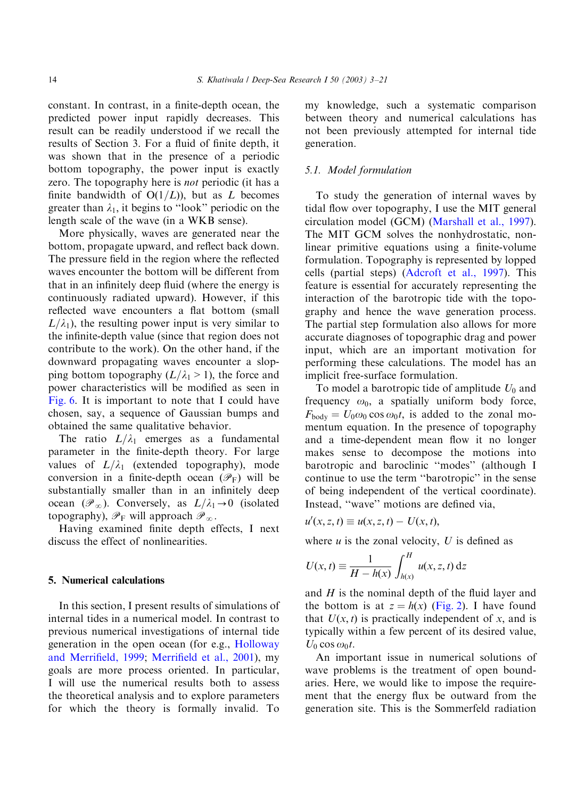constant. In contrast, in a finite-depth ocean, the predicted power input rapidly decreases. This result can be readily understood if we recall the results of Section 3. For a fluid of finite depth, it was shown that in the presence of a periodic bottom topography, the power input is exactly zero. The topography here is not periodic (it has a finite bandwidth of  $O(1/L)$ , but as L becomes greater than  $\lambda_1$ , it begins to "look" periodic on the length scale of the wave (in a WKB sense).

More physically, waves are generated near the bottom, propagate upward, and reflect back down. The pressure field in the region where the reflected waves encounter the bottom will be different from that in an infinitely deep fluid (where the energy is continuously radiated upward). However, if this reflected wave encounters a flat bottom (small  $L/\lambda_1$ , the resulting power input is very similar to the infinite-depth value (since that region does not contribute to the work). On the other hand, if the downward propagating waves encounter a slopping bottom topography  $(L/\lambda_1 > 1)$ , the force and power characteristics will be modified as seen in [Fig. 6](#page-10-0). It is important to note that I could have chosen, say, a sequence of Gaussian bumps and obtained the same qualitative behavior.

The ratio  $L/\lambda_1$  emerges as a fundamental parameter in the finite-depth theory. For large values of  $L/\lambda_1$  (extended topography), mode conversion in a finite-depth ocean  $(\mathscr{P}_F)$  will be substantially smaller than in an infinitely deep ocean  $(\mathscr{P}_\infty)$ . Conversely, as  $L/\lambda_1\rightarrow 0$  (isolated topography),  $\mathscr{P}_F$  will approach  $\mathscr{P}_\infty$ .

Having examined finite depth effects, I next discuss the effect of nonlinearities.

## 5. Numerical calculations

In this section, I present results of simulations of internal tides in a numerical model. In contrast to previous numerical investigations of internal tide generation in the open ocean (for e.g., [Holloway](#page-18-0) [and Merrifield, 1999](#page-18-0); [Merrifield et al., 2001\)](#page-18-0), my goals are more process oriented. In particular, I will use the numerical results both to assess the theoretical analysis and to explore parameters for which the theory is formally invalid. To

my knowledge, such a systematic comparison between theory and numerical calculations has not been previously attempted for internal tide generation.

## 5.1. Model formulation

To study the generation of internal waves by tidal flow over topography, I use the MIT general circulation model (GCM) [\(Marshall et al., 1997](#page-18-0)). The MIT GCM solves the nonhydrostatic, nonlinear primitive equations using a finite-volume formulation. Topography is represented by lopped cells (partial steps) ([Adcroft et al., 1997\)](#page-18-0). This feature is essential for accurately representing the interaction of the barotropic tide with the topography and hence the wave generation process. The partial step formulation also allows for more accurate diagnoses of topographic drag and power input, which are an important motivation for performing these calculations. The model has an implicit free-surface formulation.

To model a barotropic tide of amplitude  $U_0$  and frequency  $\omega_0$ , a spatially uniform body force,  $F_{\text{body}} = U_0 \omega_0 \cos \omega_0 t$ , is added to the zonal momentum equation. In the presence of topography and a time-dependent mean flow it no longer makes sense to decompose the motions into barotropic and baroclinic ''modes'' (although I continue to use the term ''barotropic'' in the sense of being independent of the vertical coordinate). Instead, ''wave'' motions are defined via,

$$
u'(x, z, t) \equiv u(x, z, t) - U(x, t),
$$

where  $u$  is the zonal velocity,  $U$  is defined as

$$
U(x,t) \equiv \frac{1}{H - h(x)} \int_{h(x)}^{H} u(x, z, t) dz
$$

and  $H$  is the nominal depth of the fluid layer and the bottom is at  $z = h(x)$  [\(Fig. 2\)](#page-5-0). I have found that  $U(x, t)$  is practically independent of x, and is typically within a few percent of its desired value,  $U_0 \cos \omega_0 t$ .

An important issue in numerical solutions of wave problems is the treatment of open boundaries. Here, we would like to impose the requirement that the energy flux be outward from the generation site. This is the Sommerfeld radiation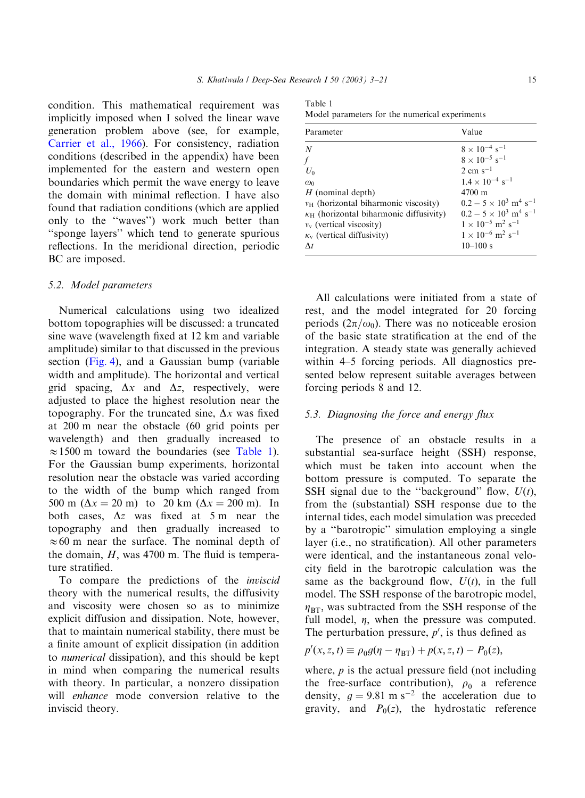condition. This mathematical requirement was implicitly imposed when I solved the linear wave generation problem above (see, for example, [Carrier et al., 1966](#page-18-0)). For consistency, radiation conditions (described in the appendix) have been implemented for the eastern and western open boundaries which permit the wave energy to leave the domain with minimal reflection. I have also found that radiation conditions (which are applied only to the ''waves'') work much better than ''sponge layers'' which tend to generate spurious reflections. In the meridional direction, periodic BC are imposed.

#### 5.2. Model parameters

Numerical calculations using two idealized bottom topographies will be discussed: a truncated sine wave (wavelength fixed at 12 km and variable amplitude) similar to that discussed in the previous section ([Fig. 4](#page-10-0)), and a Gaussian bump (variable width and amplitude). The horizontal and vertical grid spacing,  $\Delta x$  and  $\Delta z$ , respectively, were adjusted to place the highest resolution near the topography. For the truncated sine,  $\Delta x$  was fixed at 200 m near the obstacle (60 grid points per wavelength) and then gradually increased to  $\approx$  1500 m toward the boundaries (see Table 1). For the Gaussian bump experiments, horizontal resolution near the obstacle was varied according to the width of the bump which ranged from 500 m  $(\Delta x = 20 \text{ m})$  to 20 km  $(\Delta x = 200 \text{ m})$ . In both cases,  $\Delta z$  was fixed at 5 m near the topography and then gradually increased to  $\approx 60$  m near the surface. The nominal depth of the domain,  $H$ , was 4700 m. The fluid is temperature stratified.

To compare the predictions of the inviscid theory with the numerical results, the diffusivity and viscosity were chosen so as to minimize explicit diffusion and dissipation. Note, however, that to maintain numerical stability, there must be a finite amount of explicit dissipation (in addition to numerical dissipation), and this should be kept in mind when comparing the numerical results with theory. In particular, a nonzero dissipation will *enhance* mode conversion relative to the inviscid theory.

Table 1 Model parameters for the numerical experiments

| Parameter                                      | Value                                                |
|------------------------------------------------|------------------------------------------------------|
| N                                              | $8 \times 10^{-4}$ s <sup>-1</sup>                   |
| $\sqrt{ }$                                     | $8 \times 10^{-5}$ s <sup>-1</sup>                   |
| $U_0$                                          | $2 \text{ cm s}^{-1}$                                |
| $\omega_0$                                     | $1.4 \times 10^{-4}$ s <sup>-1</sup>                 |
| $H$ (nominal depth)                            | 4700 m                                               |
| $v_H$ (horizontal biharmonic viscosity)        | $0.2 - 5 \times 10^3$ m <sup>4</sup> s <sup>-1</sup> |
| $\kappa_H$ (horizontal biharmonic diffusivity) | $0.2 - 5 \times 10^3$ m <sup>4</sup> s <sup>-1</sup> |
| $v_{v}$ (vertical viscosity)                   | $1 \times 10^{-5}$ m <sup>2</sup> s <sup>-1</sup>    |
| $\kappa_{v}$ (vertical diffusivity)            | $1 \times 10^{-6}$ m <sup>2</sup> s <sup>-1</sup>    |
| $\Lambda t$                                    | $10 - 100$ s                                         |

All calculations were initiated from a state of rest, and the model integrated for 20 forcing periods  $(2\pi/\omega_0)$ . There was no noticeable erosion of the basic state stratification at the end of the integration. A steady state was generally achieved within 4–5 forcing periods. All diagnostics presented below represent suitable averages between forcing periods 8 and 12.

#### 5.3. Diagnosing the force and energy flux

The presence of an obstacle results in a substantial sea-surface height (SSH) response, which must be taken into account when the bottom pressure is computed. To separate the SSH signal due to the "background" flow,  $U(t)$ , from the (substantial) SSH response due to the internal tides, each model simulation was preceded by a ''barotropic'' simulation employing a single layer (i.e., no stratification). All other parameters were identical, and the instantaneous zonal velocity field in the barotropic calculation was the same as the background flow,  $U(t)$ , in the full model. The SSH response of the barotropic model,  $\eta_{\rm BT}$ , was subtracted from the SSH response of the full model,  $\eta$ , when the pressure was computed. The perturbation pressure,  $p'$ , is thus defined as

$$
p'(x, z, t) \equiv \rho_0 g(\eta - \eta_{\text{BT}}) + p(x, z, t) - P_0(z),
$$

where,  $p$  is the actual pressure field (not including the free-surface contribution),  $\rho_0$  a reference density,  $q = 9.81$  m s<sup>-2</sup> the acceleration due to gravity, and  $P_0(z)$ , the hydrostatic reference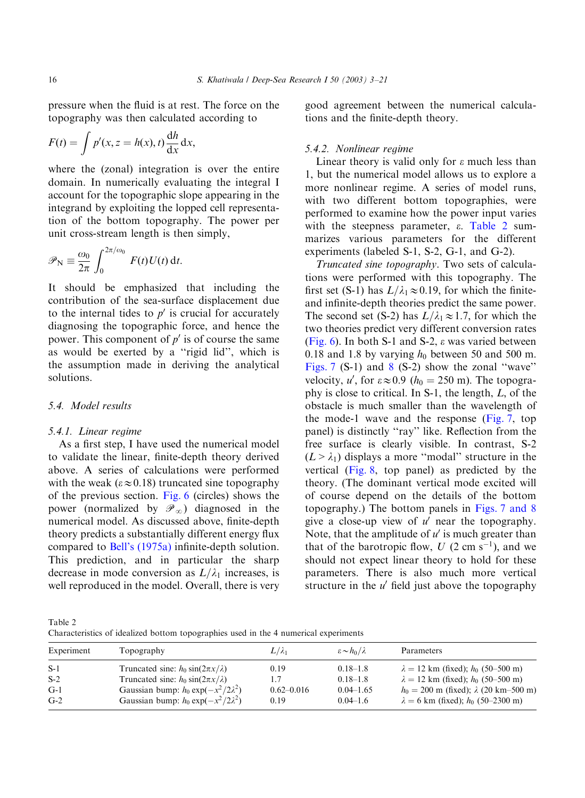pressure when the fluid is at rest. The force on the topography was then calculated according to

$$
F(t) = \int p'(x, z = h(x), t) \frac{dh}{dx} dx,
$$

where the (zonal) integration is over the entire domain. In numerically evaluating the integral I account for the topographic slope appearing in the integrand by exploiting the lopped cell representation of the bottom topography. The power per unit cross-stream length is then simply,

$$
\mathscr{P}_{\rm N} \equiv \frac{\omega_0}{2\pi} \int_0^{2\pi/\omega_0} F(t)U(t) \, \mathrm{d}t.
$$

It should be emphasized that including the contribution of the sea-surface displacement due to the internal tides to  $p'$  is crucial for accurately diagnosing the topographic force, and hence the power. This component of  $p'$  is of course the same as would be exerted by a "rigid lid", which is the assumption made in deriving the analytical solutions.

# 5.4. Model results

#### 5.4.1. Linear regime

As a first step, I have used the numerical model to validate the linear, finite-depth theory derived above. A series of calculations were performed with the weak ( $\varepsilon \approx 0.18$ ) truncated sine topography of the previous section. [Fig. 6](#page-10-0) (circles) shows the power (normalized by  $\mathscr{P}_{\infty}$ ) diagnosed in the numerical model. As discussed above, finite-depth theory predicts a substantially different energy flux compared to [Bell's \(1975a\)](#page-18-0) infinite-depth solution. This prediction, and in particular the sharp decrease in mode conversion as  $L/\lambda_1$  increases, is well reproduced in the model. Overall, there is very good agreement between the numerical calculations and the finite-depth theory.

#### 5.4.2. Nonlinear regime

Linear theory is valid only for  $\varepsilon$  much less than 1, but the numerical model allows us to explore a more nonlinear regime. A series of model runs, with two different bottom topographies, were performed to examine how the power input varies with the steepness parameter,  $\varepsilon$ . Table 2 summarizes various parameters for the different experiments (labeled S-1, S-2, G-1, and G-2).

Truncated sine topography. Two sets of calculations were performed with this topography. The first set (S-1) has  $L/\lambda_1 \approx 0.19$ , for which the finiteand infinite-depth theories predict the same power. The second set (S-2) has  $L/\lambda_1 \approx 1.7$ , for which the two theories predict very different conversion rates [\(Fig. 6\)](#page-10-0). In both S-1 and S-2, e was varied between 0.18 and 1.8 by varying  $h_0$  between 50 and 500 m. [Figs. 7](#page-14-0)  $(S-1)$  and  $8(S-2)$  $8(S-2)$  show the zonal "wave" velocity, u', for  $\varepsilon \approx 0.9$  ( $h_0 = 250$  m). The topography is close to critical. In  $S-1$ , the length,  $L$ , of the obstacle is much smaller than the wavelength of the mode-1 wave and the response [\(Fig. 7,](#page-14-0) top panel) is distinctly ''ray'' like. Reflection from the free surface is clearly visible. In contrast, S-2  $(L > \lambda_1)$  displays a more "modal" structure in the vertical [\(Fig. 8,](#page-14-0) top panel) as predicted by the theory. (The dominant vertical mode excited will of course depend on the details of the bottom topography.) The bottom panels in [Figs. 7 and 8](#page-14-0) give a close-up view of  $u'$  near the topography. Note, that the amplitude of  $u'$  is much greater than that of the barotropic flow, U  $(2 \text{ cm s}^{-1})$ , and we should not expect linear theory to hold for these parameters. There is also much more vertical structure in the  $u'$  field just above the topography

Table 2 Characteristics of idealized bottom topographies used in the 4 numerical experiments

| Experiment | Topography                                 | $L/\lambda_1$  | $\varepsilon \sim h_0/\lambda$ | Parameters                                     |
|------------|--------------------------------------------|----------------|--------------------------------|------------------------------------------------|
| $S-1$      | Truncated sine: $h_0 \sin(2\pi x/\lambda)$ | 0.19           | $0.18 - 1.8$                   | $\lambda = 12$ km (fixed); $h_0$ (50–500 m)    |
| $S-2$      | Truncated sine: $h_0 \sin(2\pi x/\lambda)$ |                | $0.18 - 1.8$                   | $\lambda = 12$ km (fixed); $h_0$ (50–500 m)    |
| $G-1$      | Gaussian bump: $h_0 \exp(-x^2/2\lambda^2)$ | $0.62 - 0.016$ | $0.04 - 1.65$                  | $h_0 = 200$ m (fixed); $\lambda$ (20 km–500 m) |
| $G-2$      | Gaussian bump: $h_0 \exp(-x^2/2\lambda^2)$ | 0.19           | $0.04 - 1.6$                   | $\lambda = 6$ km (fixed); $h_0$ (50–2300 m)    |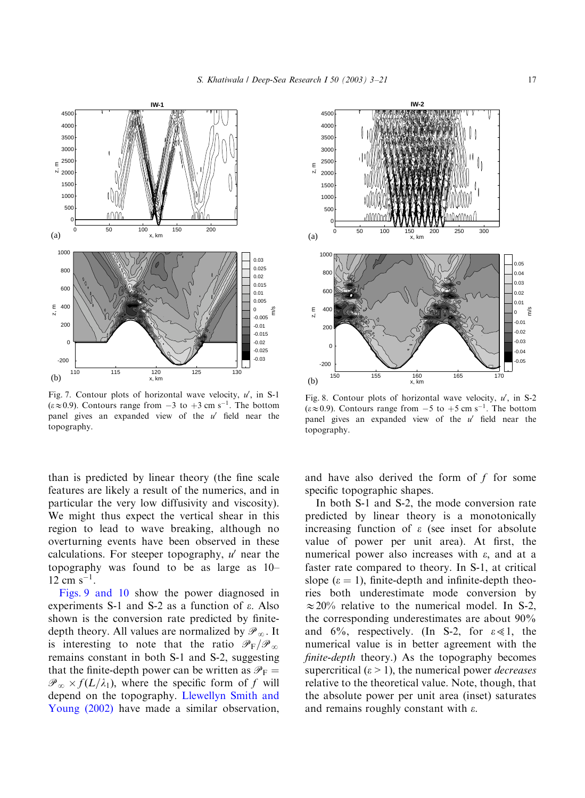<span id="page-14-0"></span>

Fig. 7. Contour plots of horizontal wave velocity,  $u'$ , in S-1  $(\varepsilon \approx 0.9)$ . Contours range from  $-3$  to  $+3$  cm s<sup>-1</sup>. The bottom panel gives an expanded view of the  $u'$  field near the topography.

than is predicted by linear theory (the fine scale features are likely a result of the numerics, and in particular the very low diffusivity and viscosity). We might thus expect the vertical shear in this region to lead to wave breaking, although no overturning events have been observed in these calculations. For steeper topography,  $u'$  near the topography was found to be as large as 10–  $12 \text{ cm s}^{-1}$ .

[Figs. 9 and 10](#page-15-0) show the power diagnosed in experiments S-1 and S-2 as a function of  $\varepsilon$ . Also shown is the conversion rate predicted by finitedepth theory. All values are normalized by  $\mathscr{P}_{\infty}$ . It is interesting to note that the ratio  $\mathscr{P}_F/\mathscr{P}_\infty$ remains constant in both S-1 and S-2, suggesting that the finite-depth power can be written as  $\mathcal{P}_F =$  $\mathscr{P}_{\infty} \times f(L/\lambda_1)$ , where the specific form of f will depend on the topography. [Llewellyn Smith and](#page-18-0) [Young \(2002\)](#page-18-0) have made a similar observation,



Fig. 8. Contour plots of horizontal wave velocity,  $u'$ , in S-2  $(\varepsilon \approx 0.9)$ . Contours range from  $-5$  to  $+5$  cm s<sup>-1</sup>. The bottom panel gives an expanded view of the  $u'$  field near the topography.

and have also derived the form of  $f$  for some specific topographic shapes.

In both S-1 and S-2, the mode conversion rate predicted by linear theory is a monotonically increasing function of  $\varepsilon$  (see inset for absolute value of power per unit area). At first, the numerical power also increases with  $\varepsilon$ , and at a faster rate compared to theory. In S-1, at critical slope ( $\varepsilon = 1$ ), finite-depth and infinite-depth theories both underestimate mode conversion by  $\approx$  20% relative to the numerical model. In S-2, the corresponding underestimates are about 90% and 6%, respectively. (In S-2, for  $\varepsilon \ll 1$ , the numerical value is in better agreement with the finite-depth theory.) As the topography becomes supercritical ( $\varepsilon > 1$ ), the numerical power *decreases* relative to the theoretical value. Note, though, that the absolute power per unit area (inset) saturates and remains roughly constant with  $\varepsilon$ .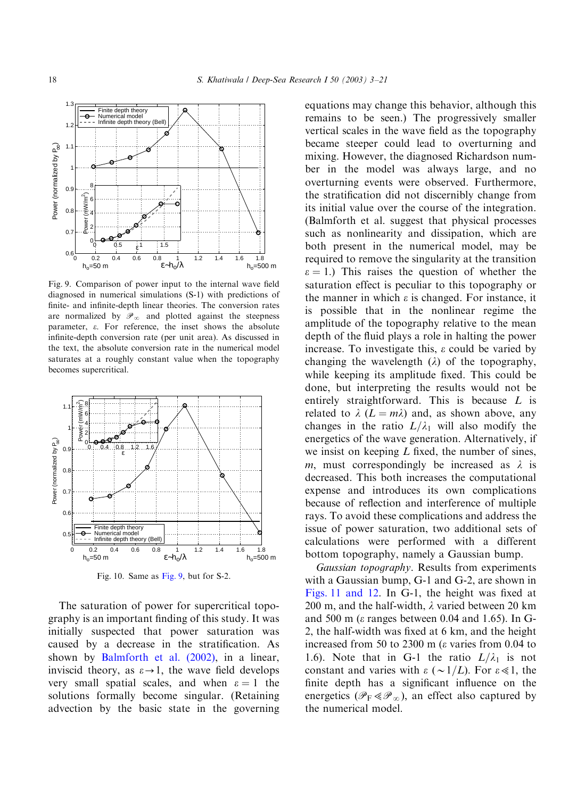<span id="page-15-0"></span>

Fig. 9. Comparison of power input to the internal wave field diagnosed in numerical simulations (S-1) with predictions of finite- and infinite-depth linear theories. The conversion rates are normalized by  $\mathcal{P}_\infty$  and plotted against the steepness parameter,  $\varepsilon$ . For reference, the inset shows the absolute infinite-depth conversion rate (per unit area). As discussed in the text, the absolute conversion rate in the numerical model saturates at a roughly constant value when the topography becomes supercritical.



Fig. 10. Same as Fig. 9, but for S-2.

The saturation of power for supercritical topography is an important finding of this study. It was initially suspected that power saturation was caused by a decrease in the stratification. As shown by [Balmforth et al. \(2002\)](#page-18-0), in a linear, inviscid theory, as  $\varepsilon \rightarrow 1$ , the wave field develops very small spatial scales, and when  $\varepsilon = 1$  the solutions formally become singular. (Retaining advection by the basic state in the governing equations may change this behavior, although this remains to be seen.) The progressively smaller vertical scales in the wave field as the topography became steeper could lead to overturning and mixing. However, the diagnosed Richardson number in the model was always large, and no overturning events were observed. Furthermore, the stratification did not discernibly change from its initial value over the course of the integration. (Balmforth et al. suggest that physical processes such as nonlinearity and dissipation, which are both present in the numerical model, may be required to remove the singularity at the transition  $\epsilon = 1$ .) This raises the question of whether the saturation effect is peculiar to this topography or the manner in which  $\varepsilon$  is changed. For instance, it is possible that in the nonlinear regime the amplitude of the topography relative to the mean depth of the fluid plays a role in halting the power increase. To investigate this,  $\varepsilon$  could be varied by changing the wavelength  $(\lambda)$  of the topography, while keeping its amplitude fixed. This could be done, but interpreting the results would not be entirely straightforward. This is because L is related to  $\lambda$  ( $L = m\lambda$ ) and, as shown above, any changes in the ratio  $L/\lambda_1$  will also modify the energetics of the wave generation. Alternatively, if we insist on keeping  $L$  fixed, the number of sines, m, must correspondingly be increased as  $\lambda$  is decreased. This both increases the computational expense and introduces its own complications because of reflection and interference of multiple rays. To avoid these complications and address the issue of power saturation, two additional sets of calculations were performed with a different bottom topography, namely a Gaussian bump.

Gaussian topography. Results from experiments with a Gaussian bump, G-1 and G-2, are shown in [Figs. 11 and 12](#page-16-0). In G-1, the height was fixed at 200 m, and the half-width,  $\lambda$  varied between 20 km and 500 m ( $\varepsilon$  ranges between 0.04 and 1.65). In G-2, the half-width was fixed at 6 km; and the height increased from 50 to 2300 m ( $\varepsilon$  varies from 0.04 to 1.6). Note that in G-1 the ratio  $L/\lambda_1$  is not constant and varies with  $\varepsilon \sim 1/L$ . For  $\varepsilon \ll 1$ , the finite depth has a significant influence on the energetics ( $\mathcal{P}_F \ll \mathcal{P}_\infty$ ), an effect also captured by the numerical model.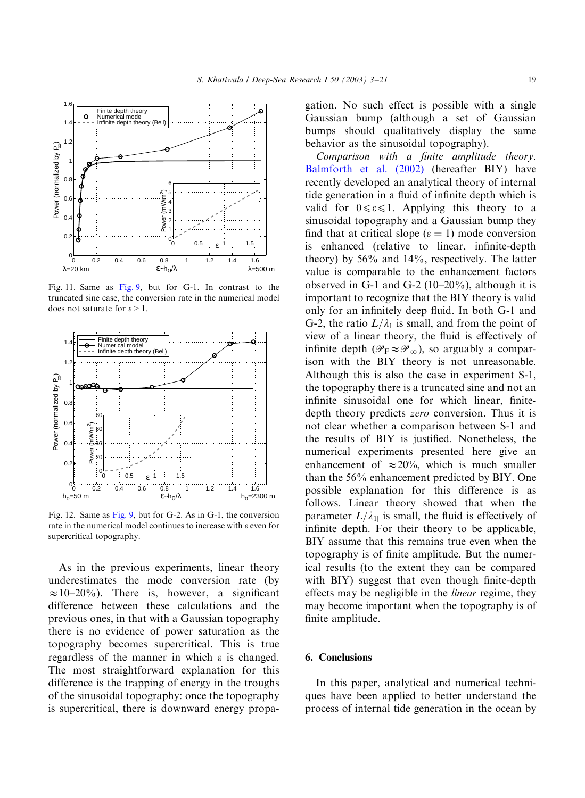<span id="page-16-0"></span>

Fig. 11. Same as [Fig. 9](#page-15-0), but for G-1. In contrast to the truncated sine case, the conversion rate in the numerical model does not saturate for  $\varepsilon > 1$ .



Fig. 12. Same as [Fig. 9](#page-15-0), but for G-2. As in G-1, the conversion rate in the numerical model continues to increase with  $\varepsilon$  even for supercritical topography.

As in the previous experiments, linear theory underestimates the mode conversion rate (by  $\approx 10-20\%$ ). There is, however, a significant difference between these calculations and the previous ones, in that with a Gaussian topography there is no evidence of power saturation as the topography becomes supercritical. This is true regardless of the manner in which  $\varepsilon$  is changed. The most straightforward explanation for this difference is the trapping of energy in the troughs of the sinusoidal topography: once the topography is supercritical, there is downward energy propagation. No such effect is possible with a single Gaussian bump (although a set of Gaussian bumps should qualitatively display the same behavior as the sinusoidal topography).

Comparison with a finite amplitude theory. [Balmforth et al. \(2002\)](#page-18-0) (hereafter BIY) have recently developed an analytical theory of internal tide generation in a fluid of infinite depth which is valid for  $0 \le \epsilon \le 1$ . Applying this theory to a sinusoidal topography and a Gaussian bump they find that at critical slope  $(\epsilon = 1)$  mode conversion is enhanced (relative to linear, infinite-depth theory) by 56% and 14%, respectively. The latter value is comparable to the enhancement factors observed in G-1 and G-2  $(10-20\%)$ , although it is important to recognize that the BIY theory is valid only for an infinitely deep fluid. In both G-1 and G-2, the ratio  $L/\lambda_1$  is small, and from the point of view of a linear theory, the fluid is effectively of infinite depth  $(\mathscr{P}_{\mathbf{F}} \approx \mathscr{P}_{\infty})$ , so arguably a comparison with the BIY theory is not unreasonable. Although this is also the case in experiment S-1, the topography there is a truncated sine and not an infinite sinusoidal one for which linear, finitedepth theory predicts zero conversion. Thus it is not clear whether a comparison between S-1 and the results of BIY is justified. Nonetheless, the numerical experiments presented here give an enhancement of  $\approx 20\%$ , which is much smaller than the 56% enhancement predicted by BIY. One possible explanation for this difference is as follows. Linear theory showed that when the parameter  $L/\lambda_{11}$  is small, the fluid is effectively of infinite depth. For their theory to be applicable, BIY assume that this remains true even when the topography is of finite amplitude. But the numerical results (to the extent they can be compared with BIY) suggest that even though finite-depth effects may be negligible in the linear regime, they may become important when the topography is of finite amplitude.

# 6. Conclusions

In this paper, analytical and numerical techniques have been applied to better understand the process of internal tide generation in the ocean by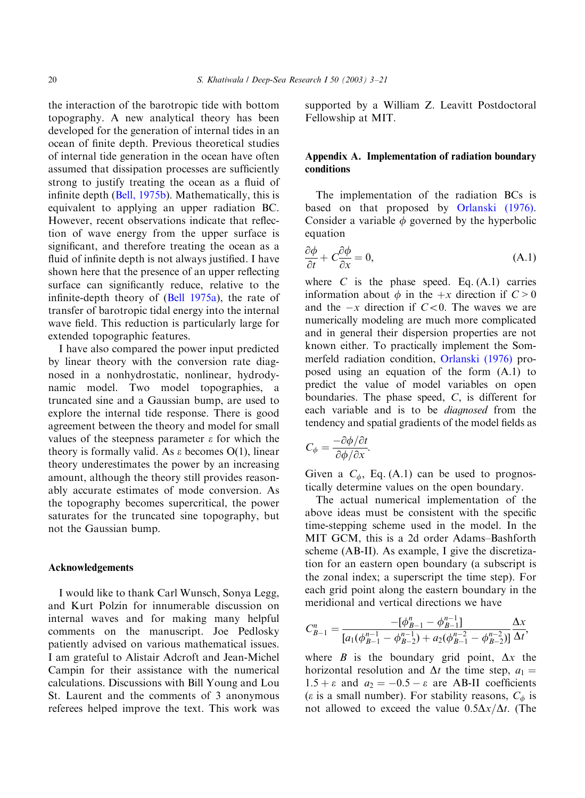the interaction of the barotropic tide with bottom topography. A new analytical theory has been developed for the generation of internal tides in an ocean of finite depth. Previous theoretical studies of internal tide generation in the ocean have often assumed that dissipation processes are sufficiently strong to justify treating the ocean as a fluid of infinite depth [\(Bell, 1975b](#page-18-0)). Mathematically, this is equivalent to applying an upper radiation BC. However, recent observations indicate that reflection of wave energy from the upper surface is significant, and therefore treating the ocean as a fluid of infinite depth is not always justified. I have shown here that the presence of an upper reflecting surface can significantly reduce, relative to the infinite-depth theory of  $(Bell 1975a)$  $(Bell 1975a)$ , the rate of transfer of barotropic tidal energy into the internal wave field. This reduction is particularly large for extended topographic features.

I have also compared the power input predicted by linear theory with the conversion rate diagnosed in a nonhydrostatic, nonlinear, hydrodynamic model. Two model topographies, a truncated sine and a Gaussian bump, are used to explore the internal tide response. There is good agreement between the theory and model for small values of the steepness parameter  $\varepsilon$  for which the theory is formally valid. As  $\varepsilon$  becomes O(1), linear theory underestimates the power by an increasing amount, although the theory still provides reasonably accurate estimates of mode conversion. As the topography becomes supercritical, the power saturates for the truncated sine topography, but not the Gaussian bump.

#### Acknowledgements

I would like to thank Carl Wunsch, Sonya Legg, and Kurt Polzin for innumerable discussion on internal waves and for making many helpful comments on the manuscript. Joe Pedlosky patiently advised on various mathematical issues. I am grateful to Alistair Adcroft and Jean-Michel Campin for their assistance with the numerical calculations. Discussions with Bill Young and Lou St. Laurent and the comments of 3 anonymous referees helped improve the text. This work was supported by a William Z. Leavitt Postdoctoral Fellowship at MIT.

# Appendix A. Implementation of radiation boundary conditions

The implementation of the radiation BCs is based on that proposed by [Orlanski \(1976\)](#page-18-0). Consider a variable  $\phi$  governed by the hyperbolic equation

$$
\frac{\partial \phi}{\partial t} + C \frac{\partial \phi}{\partial x} = 0, \tag{A.1}
$$

where  $C$  is the phase speed. Eq.  $(A,1)$  carries information about  $\phi$  in the  $+x$  direction if  $C > 0$ and the  $-x$  direction if  $C < 0$ . The waves we are numerically modeling are much more complicated and in general their dispersion properties are not known either. To practically implement the Sommerfeld radiation condition, [Orlanski \(1976\)](#page-18-0) proposed using an equation of the form (A.1) to predict the value of model variables on open boundaries. The phase speed,  $C$ , is different for each variable and is to be diagnosed from the tendency and spatial gradients of the model fields as

$$
C_{\phi} = \frac{-\partial \phi / \partial t}{\partial \phi / \partial x}.
$$

Given a  $C_{\phi}$ , Eq. (A.1) can be used to prognostically determine values on the open boundary.

The actual numerical implementation of the above ideas must be consistent with the specific time-stepping scheme used in the model. In the MIT GCM, this is a 2d order Adams–Bashforth scheme (AB-II). As example, I give the discretization for an eastern open boundary (a subscript is the zonal index; a superscript the time step). For each grid point along the eastern boundary in the meridional and vertical directions we have

$$
C_{B-1}^{n} = \frac{-\left[\phi_{B-1}^{n} - \phi_{B-1}^{n-1}\right]}{\left[a_{1}\left(\phi_{B-1}^{n-1} - \phi_{B-2}^{n-1}\right) + a_{2}\left(\phi_{B-1}^{n-2} - \phi_{B-2}^{n-2}\right)\right] \Delta t},
$$

where  $B$  is the boundary grid point,  $\Delta x$  the horizontal resolution and  $\Delta t$  the time step,  $a_1 =$  $1.5 + \varepsilon$  and  $a_2 = -0.5 - \varepsilon$  are AB-II coefficients ( $\varepsilon$  is a small number). For stability reasons,  $C_{\phi}$  is not allowed to exceed the value  $0.5\Delta x/\Delta t$ . (The